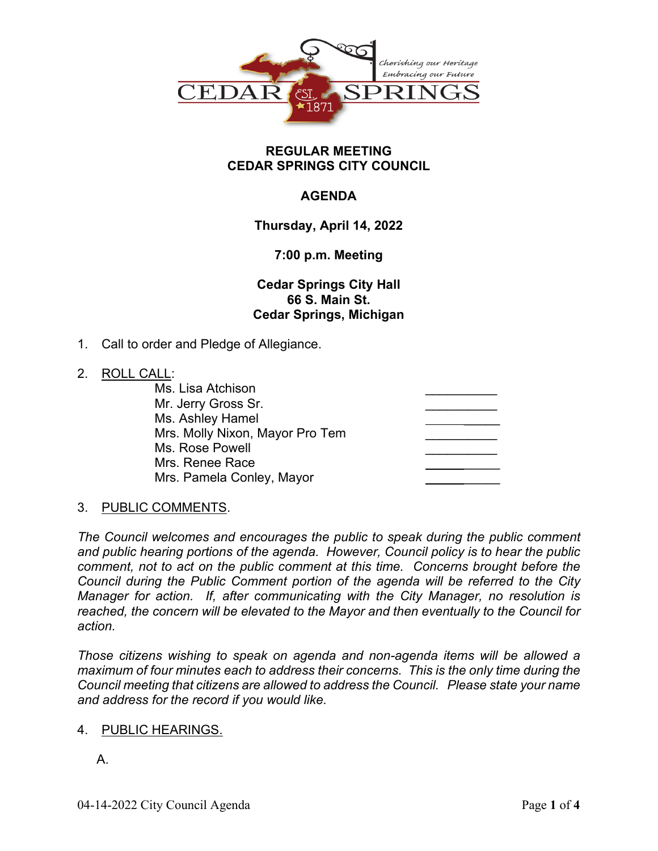

### **REGULAR MEETING CEDAR SPRINGS CITY COUNCIL**

# **AGENDA**

**Thursday, April 14, 2022**

# **7:00 p.m. Meeting**

**Cedar Springs City Hall 66 S. Main St. Cedar Springs, Michigan**

1. Call to order and Pledge of Allegiance.

### 2. ROLL CALL:

| Ms. Lisa Atchison               |  |
|---------------------------------|--|
| Mr. Jerry Gross Sr.             |  |
| Ms. Ashley Hamel                |  |
| Mrs. Molly Nixon, Mayor Pro Tem |  |
| Ms. Rose Powell                 |  |
| Mrs. Renee Race                 |  |
| Mrs. Pamela Conley, Mayor       |  |
|                                 |  |

# 3. PUBLIC COMMENTS.

*The Council welcomes and encourages the public to speak during the public comment and public hearing portions of the agenda. However, Council policy is to hear the public comment, not to act on the public comment at this time. Concerns brought before the Council during the Public Comment portion of the agenda will be referred to the City Manager for action. If, after communicating with the City Manager, no resolution is reached, the concern will be elevated to the Mayor and then eventually to the Council for action.*

*Those citizens wishing to speak on agenda and non-agenda items will be allowed a maximum of four minutes each to address their concerns. This is the only time during the Council meeting that citizens are allowed to address the Council. Please state your name and address for the record if you would like.*

### 4. PUBLIC HEARINGS.

A.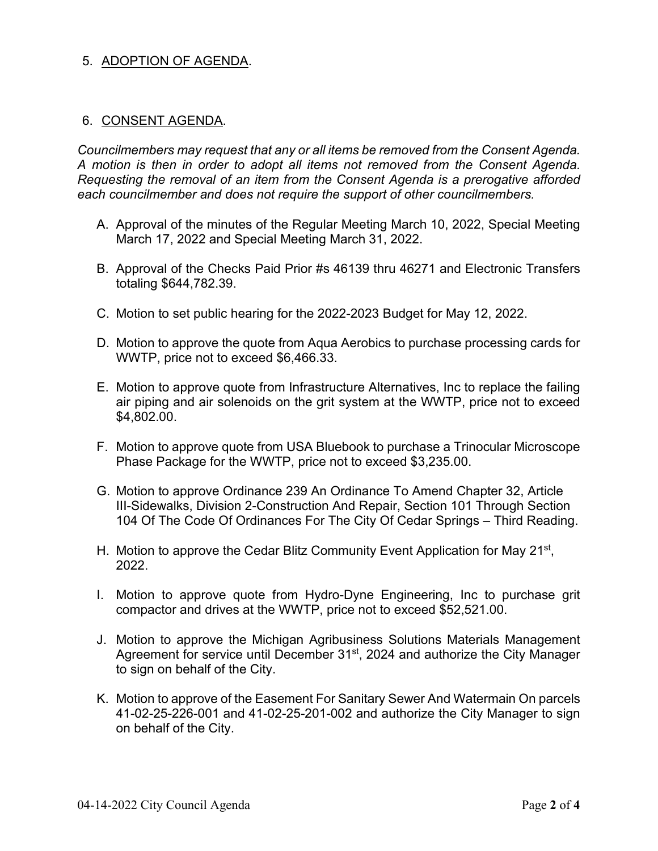# 5. ADOPTION OF AGENDA.

#### 6. CONSENT AGENDA.

*Councilmembers may request that any or all items be removed from the Consent Agenda. A motion is then in order to adopt all items not removed from the Consent Agenda. Requesting the removal of an item from the Consent Agenda is a prerogative afforded each councilmember and does not require the support of other councilmembers.*

- A. Approval of the minutes of the Regular Meeting March 10, 2022, Special Meeting March 17, 2022 and Special Meeting March 31, 2022.
- B. Approval of the Checks Paid Prior #s 46139 thru 46271 and Electronic Transfers totaling \$644,782.39.
- C. Motion to set public hearing for the 2022-2023 Budget for May 12, 2022.
- D. Motion to approve the quote from Aqua Aerobics to purchase processing cards for WWTP, price not to exceed \$6,466.33.
- E. Motion to approve quote from Infrastructure Alternatives, Inc to replace the failing air piping and air solenoids on the grit system at the WWTP, price not to exceed \$4,802.00.
- F. Motion to approve quote from USA Bluebook to purchase a Trinocular Microscope Phase Package for the WWTP, price not to exceed \$3,235.00.
- G. Motion to approve Ordinance 239 An Ordinance To Amend Chapter 32, Article III-Sidewalks, Division 2-Construction And Repair, Section 101 Through Section 104 Of The Code Of Ordinances For The City Of Cedar Springs – Third Reading.
- H. Motion to approve the Cedar Blitz Community Event Application for May 21<sup>st</sup>, 2022.
- I. Motion to approve quote from Hydro-Dyne Engineering, Inc to purchase grit compactor and drives at the WWTP, price not to exceed \$52,521.00.
- J. Motion to approve the Michigan Agribusiness Solutions Materials Management Agreement for service until December 31<sup>st</sup>, 2024 and authorize the City Manager to sign on behalf of the City.
- K. Motion to approve of the Easement For Sanitary Sewer And Watermain On parcels 41-02-25-226-001 and 41-02-25-201-002 and authorize the City Manager to sign on behalf of the City.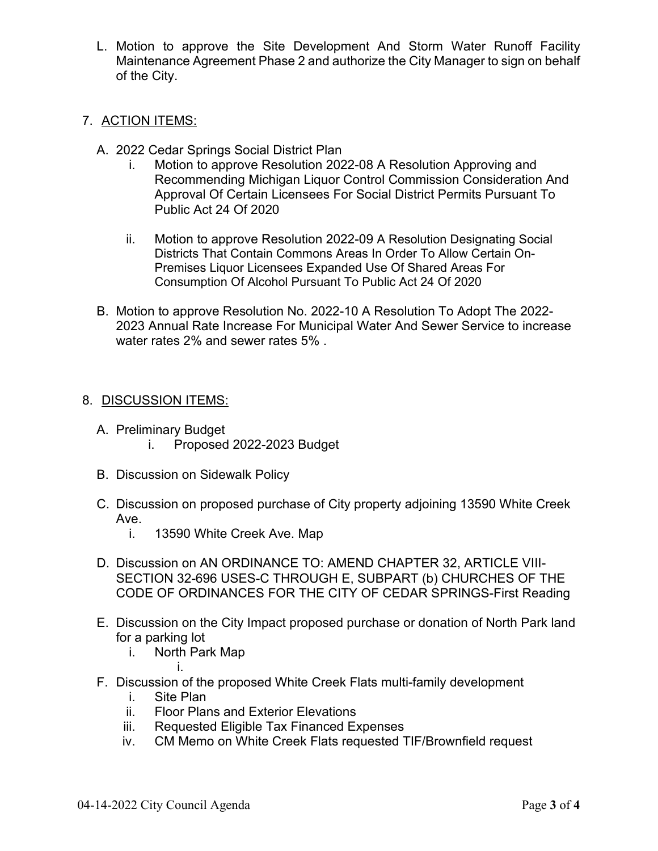L. Motion to approve the Site Development And Storm Water Runoff Facility Maintenance Agreement Phase 2 and authorize the City Manager to sign on behalf of the City.

### 7. ACTION ITEMS:

- A. 2022 Cedar Springs Social District Plan
	- i. Motion to approve Resolution 2022-08 A Resolution Approving and Recommending Michigan Liquor Control Commission Consideration And Approval Of Certain Licensees For Social District Permits Pursuant To Public Act 24 Of 2020
	- ii. Motion to approve Resolution 2022-09 A Resolution Designating Social Districts That Contain Commons Areas In Order To Allow Certain On-Premises Liquor Licensees Expanded Use Of Shared Areas For Consumption Of Alcohol Pursuant To Public Act 24 Of 2020
- B. Motion to approve Resolution No. 2022-10 A Resolution To Adopt The 2022- 2023 Annual Rate Increase For Municipal Water And Sewer Service to increase water rates 2% and sewer rates 5% .

# 8. DISCUSSION ITEMS:

- A. Preliminary Budget
	- i. Proposed 2022-2023 Budget
- B. Discussion on Sidewalk Policy
- C. Discussion on proposed purchase of City property adjoining 13590 White Creek Ave.
	- i. 13590 White Creek Ave. Map
- D. Discussion on AN ORDINANCE TO: AMEND CHAPTER 32, ARTICLE VIII-SECTION 32-696 USES-C THROUGH E, SUBPART (b) CHURCHES OF THE CODE OF ORDINANCES FOR THE CITY OF CEDAR SPRINGS-First Reading
- E. Discussion on the City Impact proposed purchase or donation of North Park land for a parking lot
	- i. North Park Map

i.

- F. Discussion of the proposed White Creek Flats multi-family development
	- i. Site Plan
	- ii. Floor Plans and Exterior Elevations
	- iii. Requested Eligible Tax Financed Expenses
	- iv. CM Memo on White Creek Flats requested TIF/Brownfield request